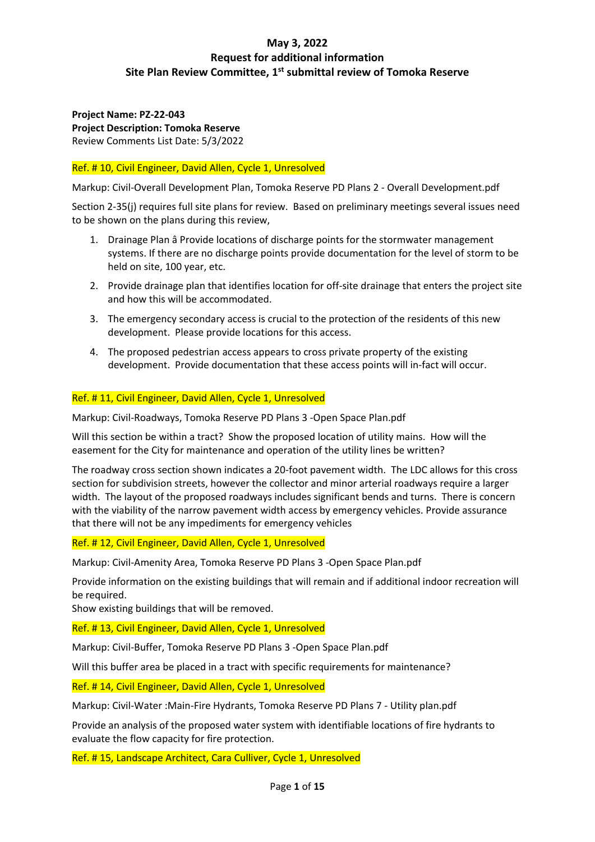**Project Name: PZ-22-043 Project Description: Tomoka Reserve** Review Comments List Date: 5/3/2022

### Ref. # 10, Civil Engineer, David Allen, Cycle 1, Unresolved

Markup: Civil-Overall Development Plan, Tomoka Reserve PD Plans 2 - Overall Development.pdf

Section 2-35(j) requires full site plans for review. Based on preliminary meetings several issues need to be shown on the plans during this review,

- 1. Drainage Plan â Provide locations of discharge points for the stormwater management systems. If there are no discharge points provide documentation for the level of storm to be held on site, 100 year, etc.
- 2. Provide drainage plan that identifies location for off-site drainage that enters the project site and how this will be accommodated.
- 3. The emergency secondary access is crucial to the protection of the residents of this new development. Please provide locations for this access.
- 4. The proposed pedestrian access appears to cross private property of the existing development. Provide documentation that these access points will in-fact will occur.

### Ref. # 11, Civil Engineer, David Allen, Cycle 1, Unresolved

Markup: Civil-Roadways, Tomoka Reserve PD Plans 3 -Open Space Plan.pdf

Will this section be within a tract? Show the proposed location of utility mains. How will the easement for the City for maintenance and operation of the utility lines be written?

The roadway cross section shown indicates a 20-foot pavement width. The LDC allows for this cross section for subdivision streets, however the collector and minor arterial roadways require a larger width. The layout of the proposed roadways includes significant bends and turns. There is concern with the viability of the narrow pavement width access by emergency vehicles. Provide assurance that there will not be any impediments for emergency vehicles

Ref. # 12, Civil Engineer, David Allen, Cycle 1, Unresolved

Markup: Civil-Amenity Area, Tomoka Reserve PD Plans 3 -Open Space Plan.pdf

Provide information on the existing buildings that will remain and if additional indoor recreation will be required.

Show existing buildings that will be removed.

Ref. # 13, Civil Engineer, David Allen, Cycle 1, Unresolved

Markup: Civil-Buffer, Tomoka Reserve PD Plans 3 -Open Space Plan.pdf

Will this buffer area be placed in a tract with specific requirements for maintenance?

Ref. # 14, Civil Engineer, David Allen, Cycle 1, Unresolved

Markup: Civil-Water :Main-Fire Hydrants, Tomoka Reserve PD Plans 7 - Utility plan.pdf

Provide an analysis of the proposed water system with identifiable locations of fire hydrants to evaluate the flow capacity for fire protection.

Ref. # 15, Landscape Architect, Cara Culliver, Cycle 1, Unresolved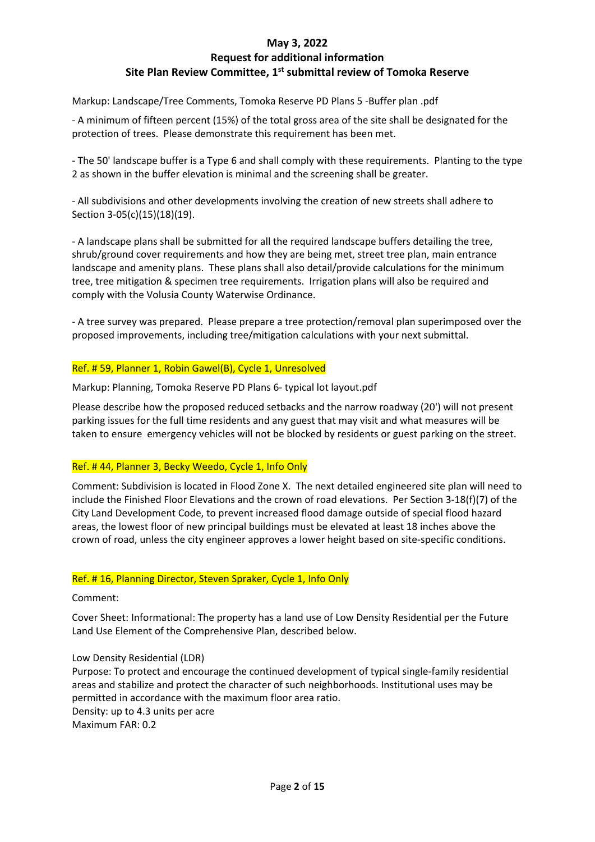## **Request for additional information Site Plan Review Committee, 1st submittal review of Tomoka Reserve**

Markup: Landscape/Tree Comments, Tomoka Reserve PD Plans 5 -Buffer plan .pdf

- A minimum of fifteen percent (15%) of the total gross area of the site shall be designated for the protection of trees. Please demonstrate this requirement has been met.

- The 50' landscape buffer is a Type 6 and shall comply with these requirements. Planting to the type 2 as shown in the buffer elevation is minimal and the screening shall be greater.

- All subdivisions and other developments involving the creation of new streets shall adhere to Section 3-05(c)(15)(18)(19).

- A landscape plans shall be submitted for all the required landscape buffers detailing the tree, shrub/ground cover requirements and how they are being met, street tree plan, main entrance landscape and amenity plans. These plans shall also detail/provide calculations for the minimum tree, tree mitigation & specimen tree requirements. Irrigation plans will also be required and comply with the Volusia County Waterwise Ordinance.

- A tree survey was prepared. Please prepare a tree protection/removal plan superimposed over the proposed improvements, including tree/mitigation calculations with your next submittal.

### Ref. # 59, Planner 1, Robin Gawel(B), Cycle 1, Unresolved

Markup: Planning, Tomoka Reserve PD Plans 6- typical lot layout.pdf

Please describe how the proposed reduced setbacks and the narrow roadway (20') will not present parking issues for the full time residents and any guest that may visit and what measures will be taken to ensure emergency vehicles will not be blocked by residents or guest parking on the street.

### Ref. # 44, Planner 3, Becky Weedo, Cycle 1, Info Only

Comment: Subdivision is located in Flood Zone X. The next detailed engineered site plan will need to include the Finished Floor Elevations and the crown of road elevations. Per Section 3-18(f)(7) of the City Land Development Code, to prevent increased flood damage outside of special flood hazard areas, the lowest floor of new principal buildings must be elevated at least 18 inches above the crown of road, unless the city engineer approves a lower height based on site-specific conditions.

### Ref. # 16, Planning Director, Steven Spraker, Cycle 1, Info Only

Comment:

Cover Sheet: Informational: The property has a land use of Low Density Residential per the Future Land Use Element of the Comprehensive Plan, described below.

### Low Density Residential (LDR)

Purpose: To protect and encourage the continued development of typical single-family residential areas and stabilize and protect the character of such neighborhoods. Institutional uses may be permitted in accordance with the maximum floor area ratio. Density: up to 4.3 units per acre Maximum FAR: 0.2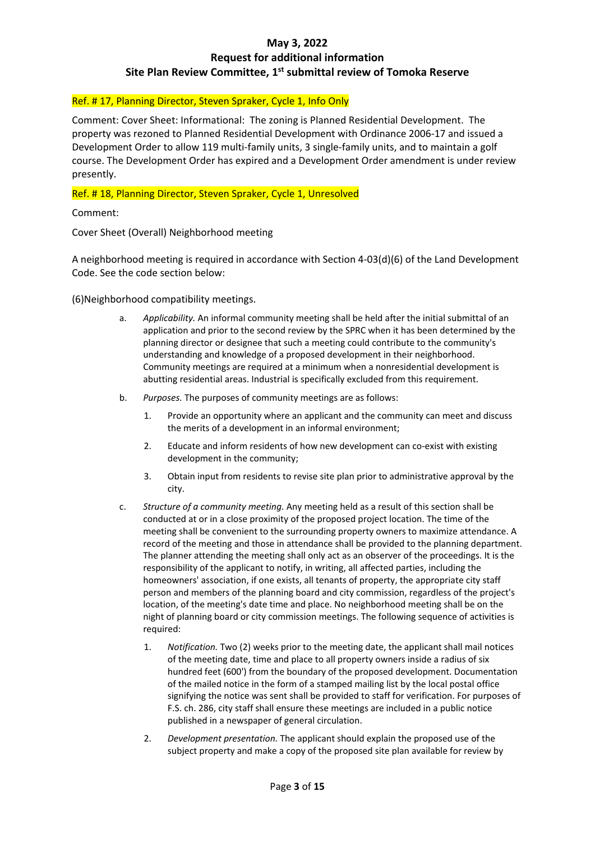### Ref. # 17, Planning Director, Steven Spraker, Cycle 1, Info Only

Comment: Cover Sheet: Informational: The zoning is Planned Residential Development. The property was rezoned to Planned Residential Development with Ordinance 2006-17 and issued a Development Order to allow 119 multi-family units, 3 single-family units, and to maintain a golf course. The Development Order has expired and a Development Order amendment is under review presently.

### Ref. # 18, Planning Director, Steven Spraker, Cycle 1, Unresolved

Comment:

Cover Sheet (Overall) Neighborhood meeting

A neighborhood meeting is required in accordance with Section 4-03(d)(6) of the Land Development Code. See the code section below:

(6)Neighborhood compatibility meetings.

- a. *Applicability.* An informal community meeting shall be held after the initial submittal of an application and prior to the second review by the SPRC when it has been determined by the planning director or designee that such a meeting could contribute to the community's understanding and knowledge of a proposed development in their neighborhood. Community meetings are required at a minimum when a nonresidential development is abutting residential areas. Industrial is specifically excluded from this requirement.
- b. *Purposes.* The purposes of community meetings are as follows:
	- 1. Provide an opportunity where an applicant and the community can meet and discuss the merits of a development in an informal environment;
	- 2. Educate and inform residents of how new development can co-exist with existing development in the community;
	- 3. Obtain input from residents to revise site plan prior to administrative approval by the city.
- c. *Structure of a community meeting.* Any meeting held as a result of this section shall be conducted at or in a close proximity of the proposed project location. The time of the meeting shall be convenient to the surrounding property owners to maximize attendance. A record of the meeting and those in attendance shall be provided to the planning department. The planner attending the meeting shall only act as an observer of the proceedings. It is the responsibility of the applicant to notify, in writing, all affected parties, including the homeowners' association, if one exists, all tenants of property, the appropriate city staff person and members of the planning board and city commission, regardless of the project's location, of the meeting's date time and place. No neighborhood meeting shall be on the night of planning board or city commission meetings. The following sequence of activities is required:
	- 1. *Notification.* Two (2) weeks prior to the meeting date, the applicant shall mail notices of the meeting date, time and place to all property owners inside a radius of six hundred feet (600') from the boundary of the proposed development. Documentation of the mailed notice in the form of a stamped mailing list by the local postal office signifying the notice was sent shall be provided to staff for verification. For purposes of F.S. ch. 286, city staff shall ensure these meetings are included in a public notice published in a newspaper of general circulation.
	- 2. *Development presentation.* The applicant should explain the proposed use of the subject property and make a copy of the proposed site plan available for review by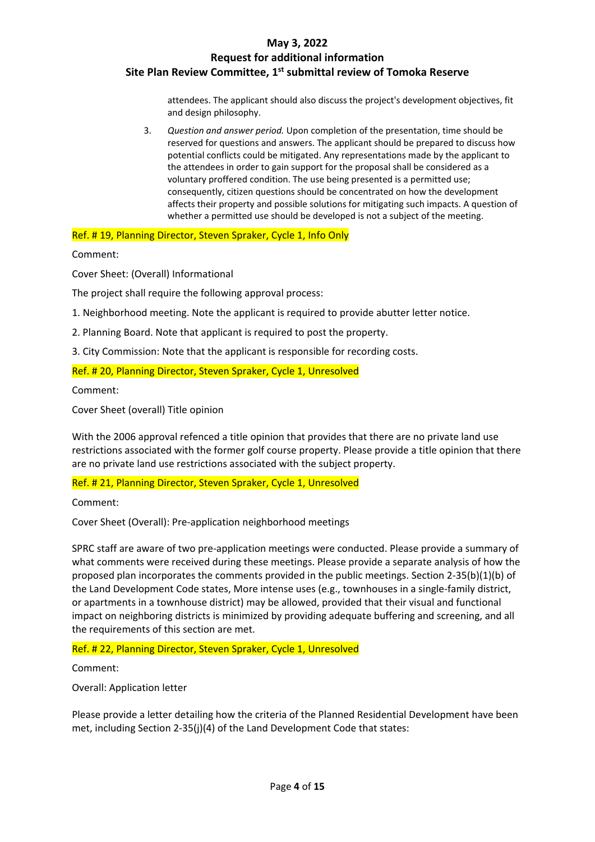## **Request for additional information Site Plan Review Committee, 1st submittal review of Tomoka Reserve**

attendees. The applicant should also discuss the project's development objectives, fit and design philosophy.

3. *Question and answer period.* Upon completion of the presentation, time should be reserved for questions and answers. The applicant should be prepared to discuss how potential conflicts could be mitigated. Any representations made by the applicant to the attendees in order to gain support for the proposal shall be considered as a voluntary proffered condition. The use being presented is a permitted use; consequently, citizen questions should be concentrated on how the development affects their property and possible solutions for mitigating such impacts. A question of whether a permitted use should be developed is not a subject of the meeting.

Ref. # 19, Planning Director, Steven Spraker, Cycle 1, Info Only

Comment:

Cover Sheet: (Overall) Informational

The project shall require the following approval process:

1. Neighborhood meeting. Note the applicant is required to provide abutter letter notice.

2. Planning Board. Note that applicant is required to post the property.

3. City Commission: Note that the applicant is responsible for recording costs.

Ref. # 20, Planning Director, Steven Spraker, Cycle 1, Unresolved

Comment:

Cover Sheet (overall) Title opinion

With the 2006 approval refenced a title opinion that provides that there are no private land use restrictions associated with the former golf course property. Please provide a title opinion that there are no private land use restrictions associated with the subject property.

Ref. # 21, Planning Director, Steven Spraker, Cycle 1, Unresolved

Comment:

Cover Sheet (Overall): Pre-application neighborhood meetings

SPRC staff are aware of two pre-application meetings were conducted. Please provide a summary of what comments were received during these meetings. Please provide a separate analysis of how the proposed plan incorporates the comments provided in the public meetings. Section 2-35(b)(1)(b) of the Land Development Code states, More intense uses (e.g., townhouses in a single-family district, or apartments in a townhouse district) may be allowed, provided that their visual and functional impact on neighboring districts is minimized by providing adequate buffering and screening, and all the requirements of this section are met.

Ref. # 22, Planning Director, Steven Spraker, Cycle 1, Unresolved

Comment:

Overall: Application letter

Please provide a letter detailing how the criteria of the Planned Residential Development have been met, including Section 2-35(j)(4) of the Land Development Code that states: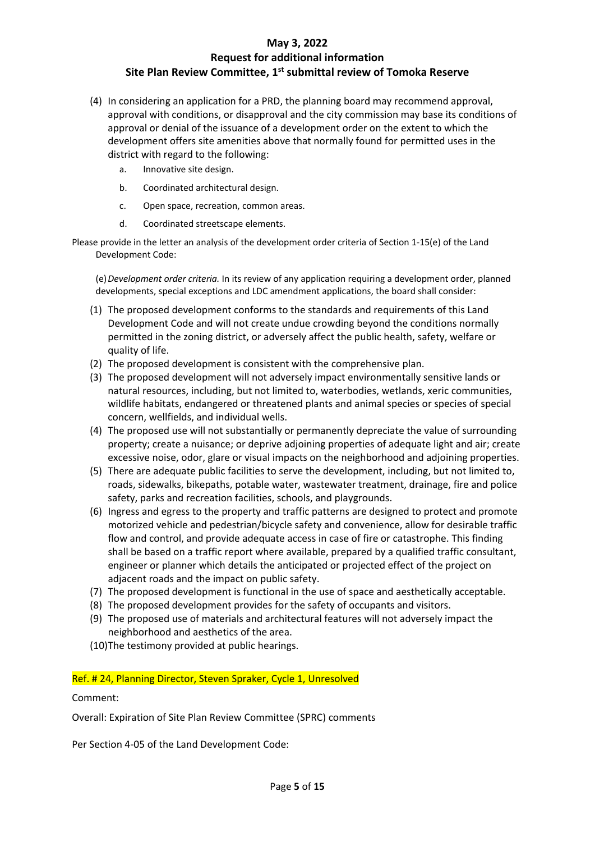- (4) In considering an application for a PRD, the planning board may recommend approval, approval with conditions, or disapproval and the city commission may base its conditions of approval or denial of the issuance of a development order on the extent to which the development offers site amenities above that normally found for permitted uses in the district with regard to the following:
	- a. Innovative site design.
	- b. Coordinated architectural design.
	- c. Open space, recreation, common areas.
	- d. Coordinated streetscape elements.

Please provide in the letter an analysis of the development order criteria of Section 1-15(e) of the Land Development Code:

(e)*Development order criteria.* In its review of any application requiring a development order, planned developments, special exceptions and LDC amendment applications, the board shall consider:

- (1) The proposed development conforms to the standards and requirements of this Land Development Code and will not create undue crowding beyond the conditions normally permitted in the zoning district, or adversely affect the public health, safety, welfare or quality of life.
- (2) The proposed development is consistent with the comprehensive plan.
- (3) The proposed development will not adversely impact environmentally sensitive lands or natural resources, including, but not limited to, waterbodies, wetlands, xeric communities, wildlife habitats, endangered or threatened plants and animal species or species of special concern, wellfields, and individual wells.
- (4) The proposed use will not substantially or permanently depreciate the value of surrounding property; create a nuisance; or deprive adjoining properties of adequate light and air; create excessive noise, odor, glare or visual impacts on the neighborhood and adjoining properties.
- (5) There are adequate public facilities to serve the development, including, but not limited to, roads, sidewalks, bikepaths, potable water, wastewater treatment, drainage, fire and police safety, parks and recreation facilities, schools, and playgrounds.
- (6) Ingress and egress to the property and traffic patterns are designed to protect and promote motorized vehicle and pedestrian/bicycle safety and convenience, allow for desirable traffic flow and control, and provide adequate access in case of fire or catastrophe. This finding shall be based on a traffic report where available, prepared by a qualified traffic consultant, engineer or planner which details the anticipated or projected effect of the project on adjacent roads and the impact on public safety.
- (7) The proposed development is functional in the use of space and aesthetically acceptable.
- (8) The proposed development provides for the safety of occupants and visitors.
- (9) The proposed use of materials and architectural features will not adversely impact the neighborhood and aesthetics of the area.
- (10)The testimony provided at public hearings.

### Ref. # 24, Planning Director, Steven Spraker, Cycle 1, Unresolved

Comment:

Overall: Expiration of Site Plan Review Committee (SPRC) comments

Per Section 4-05 of the Land Development Code: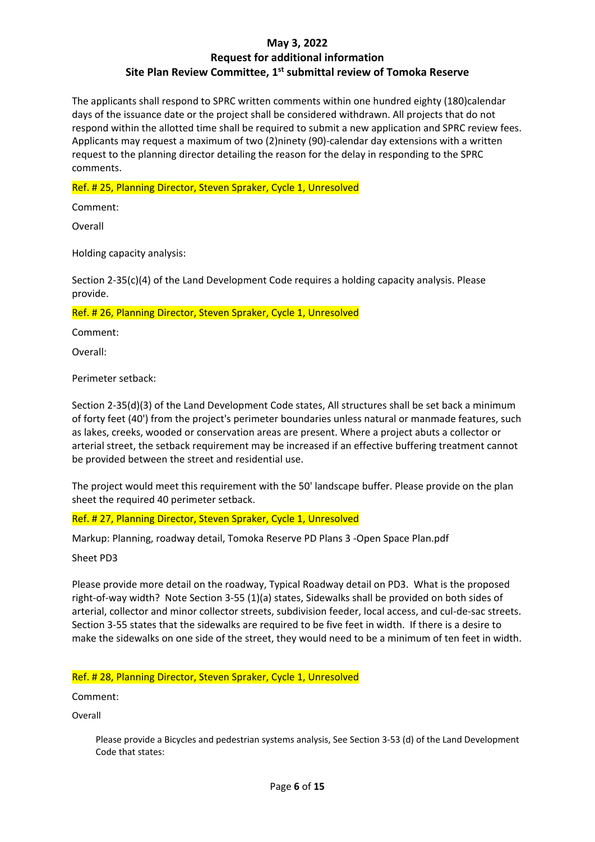## **Request for additional information Site Plan Review Committee, 1st submittal review of Tomoka Reserve**

The applicants shall respond to SPRC written comments within one hundred eighty (180)calendar days of the issuance date or the project shall be considered withdrawn. All projects that do not respond within the allotted time shall be required to submit a new application and SPRC review fees. Applicants may request a maximum of two (2)ninety (90)-calendar day extensions with a written request to the planning director detailing the reason for the delay in responding to the SPRC comments.

### Ref. # 25, Planning Director, Steven Spraker, Cycle 1, Unresolved

Comment:

Overall

Holding capacity analysis:

Section 2-35(c)(4) of the Land Development Code requires a holding capacity analysis. Please provide.

Ref. # 26, Planning Director, Steven Spraker, Cycle 1, Unresolved

Comment:

Overall:

Perimeter setback:

Section 2-35(d)(3) of the Land Development Code states, All structures shall be set back a minimum of forty feet (40') from the project's perimeter boundaries unless natural or manmade features, such as lakes, creeks, wooded or conservation areas are present. Where a project abuts a collector or arterial street, the setback requirement may be increased if an effective buffering treatment cannot be provided between the street and residential use.

The project would meet this requirement with the 50' landscape buffer. Please provide on the plan sheet the required 40 perimeter setback.

Ref. # 27, Planning Director, Steven Spraker, Cycle 1, Unresolved

Markup: Planning, roadway detail, Tomoka Reserve PD Plans 3 -Open Space Plan.pdf

Sheet PD3

Please provide more detail on the roadway, Typical Roadway detail on PD3. What is the proposed right-of-way width? Note Section 3-55 (1)(a) states, Sidewalks shall be provided on both sides of arterial, collector and minor collector streets, subdivision feeder, local access, and cul-de-sac streets. Section 3-55 states that the sidewalks are required to be five feet in width. If there is a desire to make the sidewalks on one side of the street, they would need to be a minimum of ten feet in width.

Ref. # 28, Planning Director, Steven Spraker, Cycle 1, Unresolved

Comment:

Overall

Please provide a Bicycles and pedestrian systems analysis, See Section 3-53 (d) of the Land Development Code that states: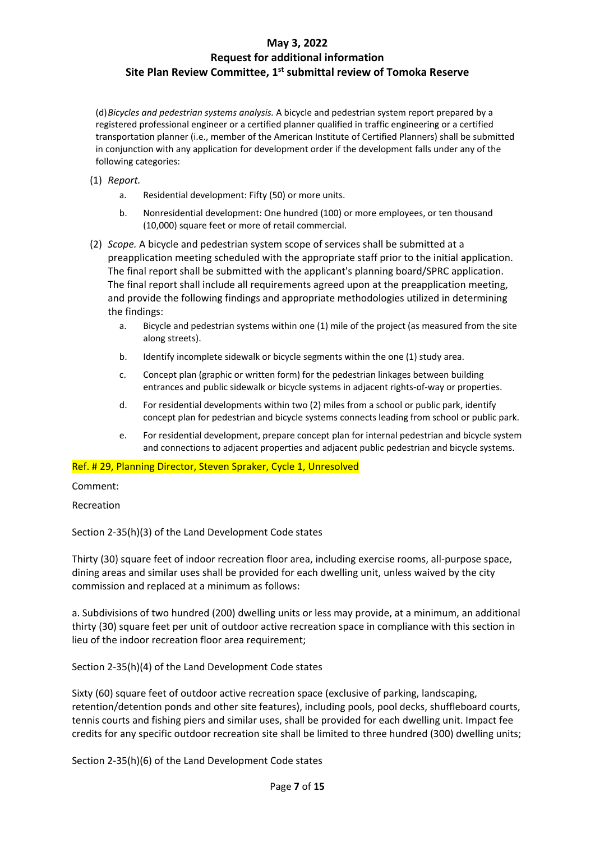### **Request for additional information Site Plan Review Committee, 1st submittal review of Tomoka Reserve**

(d)*Bicycles and pedestrian systems analysis.* A bicycle and pedestrian system report prepared by a registered professional engineer or a certified planner qualified in traffic engineering or a certified transportation planner (i.e., member of the American Institute of Certified Planners) shall be submitted in conjunction with any application for development order if the development falls under any of the following categories:

- (1) *Report.*
	- a. Residential development: Fifty (50) or more units.
	- b. Nonresidential development: One hundred (100) or more employees, or ten thousand (10,000) square feet or more of retail commercial.
- (2) *Scope.* A bicycle and pedestrian system scope of services shall be submitted at a preapplication meeting scheduled with the appropriate staff prior to the initial application. The final report shall be submitted with the applicant's planning board/SPRC application. The final report shall include all requirements agreed upon at the preapplication meeting, and provide the following findings and appropriate methodologies utilized in determining the findings:
	- a. Bicycle and pedestrian systems within one (1) mile of the project (as measured from the site along streets).
	- b. Identify incomplete sidewalk or bicycle segments within the one (1) study area.
	- c. Concept plan (graphic or written form) for the pedestrian linkages between building entrances and public sidewalk or bicycle systems in adjacent rights-of-way or properties.
	- d. For residential developments within two (2) miles from a school or public park, identify concept plan for pedestrian and bicycle systems connects leading from school or public park.
	- e. For residential development, prepare concept plan for internal pedestrian and bicycle system and connections to adjacent properties and adjacent public pedestrian and bicycle systems.

Ref. # 29, Planning Director, Steven Spraker, Cycle 1, Unresolved

Comment:

Recreation

Section 2-35(h)(3) of the Land Development Code states

Thirty (30) square feet of indoor recreation floor area, including exercise rooms, all-purpose space, dining areas and similar uses shall be provided for each dwelling unit, unless waived by the city commission and replaced at a minimum as follows:

a. Subdivisions of two hundred (200) dwelling units or less may provide, at a minimum, an additional thirty (30) square feet per unit of outdoor active recreation space in compliance with this section in lieu of the indoor recreation floor area requirement;

Section 2-35(h)(4) of the Land Development Code states

Sixty (60) square feet of outdoor active recreation space (exclusive of parking, landscaping, retention/detention ponds and other site features), including pools, pool decks, shuffleboard courts, tennis courts and fishing piers and similar uses, shall be provided for each dwelling unit. Impact fee credits for any specific outdoor recreation site shall be limited to three hundred (300) dwelling units;

Section 2-35(h)(6) of the Land Development Code states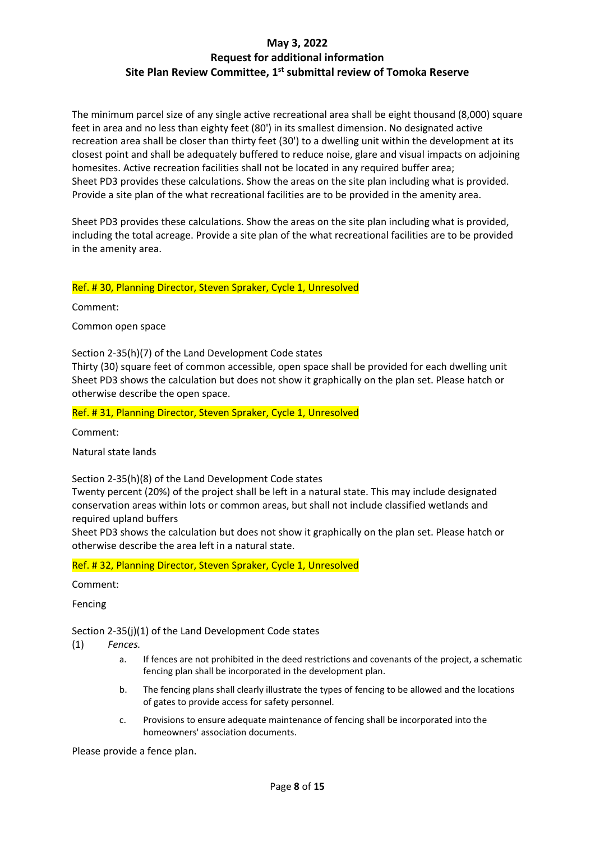The minimum parcel size of any single active recreational area shall be eight thousand (8,000) square feet in area and no less than eighty feet (80') in its smallest dimension. No designated active recreation area shall be closer than thirty feet (30') to a dwelling unit within the development at its closest point and shall be adequately buffered to reduce noise, glare and visual impacts on adjoining homesites. Active recreation facilities shall not be located in any required buffer area; Sheet PD3 provides these calculations. Show the areas on the site plan including what is provided. Provide a site plan of the what recreational facilities are to be provided in the amenity area.

Sheet PD3 provides these calculations. Show the areas on the site plan including what is provided, including the total acreage. Provide a site plan of the what recreational facilities are to be provided in the amenity area.

### Ref. # 30, Planning Director, Steven Spraker, Cycle 1, Unresolved

Comment:

Common open space

Section 2-35(h)(7) of the Land Development Code states

Thirty (30) square feet of common accessible, open space shall be provided for each dwelling unit Sheet PD3 shows the calculation but does not show it graphically on the plan set. Please hatch or otherwise describe the open space.

Ref. # 31, Planning Director, Steven Spraker, Cycle 1, Unresolved

Comment:

Natural state lands

Section 2-35(h)(8) of the Land Development Code states

Twenty percent (20%) of the project shall be left in a natural state. This may include designated conservation areas within lots or common areas, but shall not include classified wetlands and required upland buffers

Sheet PD3 shows the calculation but does not show it graphically on the plan set. Please hatch or otherwise describe the area left in a natural state.

### Ref. # 32, Planning Director, Steven Spraker, Cycle 1, Unresolved

Comment:

Fencing

Section 2-35(j)(1) of the Land Development Code states

(1) *Fences.*

- a. If fences are not prohibited in the deed restrictions and covenants of the project, a schematic fencing plan shall be incorporated in the development plan.
- b. The fencing plans shall clearly illustrate the types of fencing to be allowed and the locations of gates to provide access for safety personnel.
- c. Provisions to ensure adequate maintenance of fencing shall be incorporated into the homeowners' association documents.

Please provide a fence plan.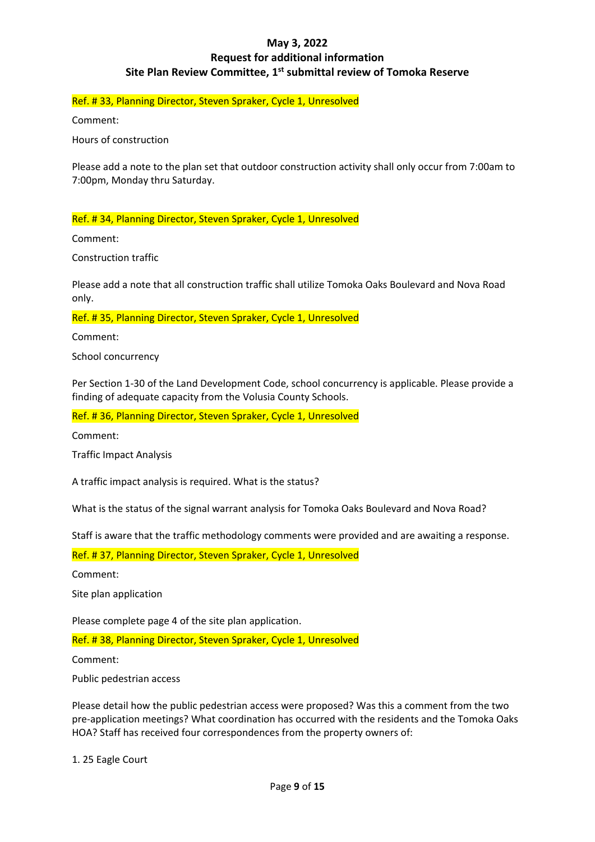Ref. # 33, Planning Director, Steven Spraker, Cycle 1, Unresolved

Comment:

Hours of construction

Please add a note to the plan set that outdoor construction activity shall only occur from 7:00am to 7:00pm, Monday thru Saturday.

Ref. # 34, Planning Director, Steven Spraker, Cycle 1, Unresolved

Comment:

Construction traffic

Please add a note that all construction traffic shall utilize Tomoka Oaks Boulevard and Nova Road only.

Ref. # 35, Planning Director, Steven Spraker, Cycle 1, Unresolved

Comment:

School concurrency

Per Section 1-30 of the Land Development Code, school concurrency is applicable. Please provide a finding of adequate capacity from the Volusia County Schools.

Ref. # 36, Planning Director, Steven Spraker, Cycle 1, Unresolved

Comment:

Traffic Impact Analysis

A traffic impact analysis is required. What is the status?

What is the status of the signal warrant analysis for Tomoka Oaks Boulevard and Nova Road?

Staff is aware that the traffic methodology comments were provided and are awaiting a response.

Ref. # 37, Planning Director, Steven Spraker, Cycle 1, Unresolved

Comment:

Site plan application

Please complete page 4 of the site plan application.

Ref. # 38, Planning Director, Steven Spraker, Cycle 1, Unresolved

Comment:

Public pedestrian access

Please detail how the public pedestrian access were proposed? Was this a comment from the two pre-application meetings? What coordination has occurred with the residents and the Tomoka Oaks HOA? Staff has received four correspondences from the property owners of:

1. 25 Eagle Court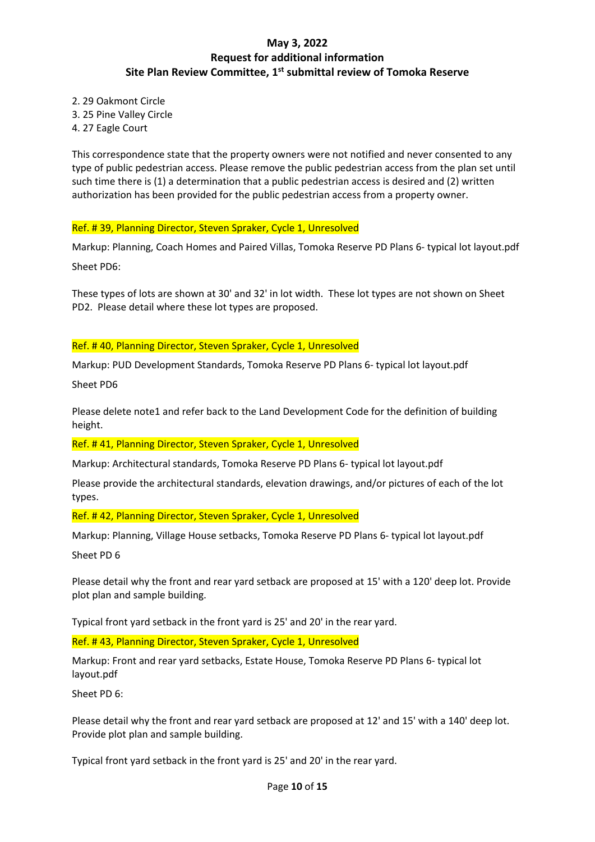2. 29 Oakmont Circle

- 3. 25 Pine Valley Circle
- 4. 27 Eagle Court

This correspondence state that the property owners were not notified and never consented to any type of public pedestrian access. Please remove the public pedestrian access from the plan set until such time there is (1) a determination that a public pedestrian access is desired and (2) written authorization has been provided for the public pedestrian access from a property owner.

Ref. # 39, Planning Director, Steven Spraker, Cycle 1, Unresolved

Markup: Planning, Coach Homes and Paired Villas, Tomoka Reserve PD Plans 6- typical lot layout.pdf Sheet PD6:

These types of lots are shown at 30' and 32' in lot width. These lot types are not shown on Sheet PD2. Please detail where these lot types are proposed.

### Ref. # 40, Planning Director, Steven Spraker, Cycle 1, Unresolved

Markup: PUD Development Standards, Tomoka Reserve PD Plans 6- typical lot layout.pdf

Sheet PD6

Please delete note1 and refer back to the Land Development Code for the definition of building height.

Ref. # 41, Planning Director, Steven Spraker, Cycle 1, Unresolved

Markup: Architectural standards, Tomoka Reserve PD Plans 6- typical lot layout.pdf

Please provide the architectural standards, elevation drawings, and/or pictures of each of the lot types.

Ref. # 42, Planning Director, Steven Spraker, Cycle 1, Unresolved

Markup: Planning, Village House setbacks, Tomoka Reserve PD Plans 6- typical lot layout.pdf

Sheet PD 6

Please detail why the front and rear yard setback are proposed at 15' with a 120' deep lot. Provide plot plan and sample building.

Typical front yard setback in the front yard is 25' and 20' in the rear yard.

Ref. # 43, Planning Director, Steven Spraker, Cycle 1, Unresolved

Markup: Front and rear yard setbacks, Estate House, Tomoka Reserve PD Plans 6- typical lot layout.pdf

Sheet PD 6:

Please detail why the front and rear yard setback are proposed at 12' and 15' with a 140' deep lot. Provide plot plan and sample building.

Typical front yard setback in the front yard is 25' and 20' in the rear yard.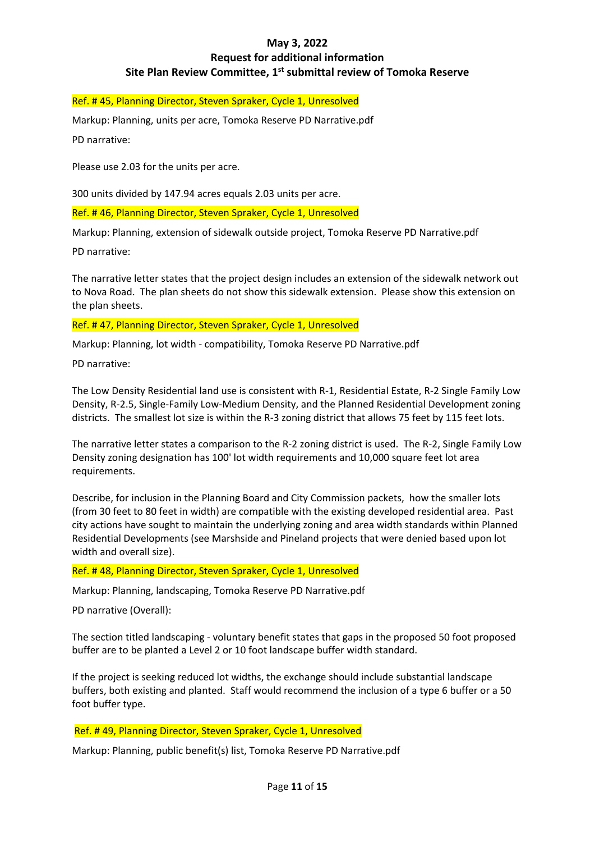### Ref. # 45, Planning Director, Steven Spraker, Cycle 1, Unresolved

Markup: Planning, units per acre, Tomoka Reserve PD Narrative.pdf

PD narrative:

Please use 2.03 for the units per acre.

300 units divided by 147.94 acres equals 2.03 units per acre.

Ref. # 46, Planning Director, Steven Spraker, Cycle 1, Unresolved

Markup: Planning, extension of sidewalk outside project, Tomoka Reserve PD Narrative.pdf

PD narrative:

The narrative letter states that the project design includes an extension of the sidewalk network out to Nova Road. The plan sheets do not show this sidewalk extension. Please show this extension on the plan sheets.

#### Ref. # 47, Planning Director, Steven Spraker, Cycle 1, Unresolved

Markup: Planning, lot width - compatibility, Tomoka Reserve PD Narrative.pdf

PD narrative:

The Low Density Residential land use is consistent with R-1, Residential Estate, R-2 Single Family Low Density, R-2.5, Single-Family Low-Medium Density, and the Planned Residential Development zoning districts. The smallest lot size is within the R-3 zoning district that allows 75 feet by 115 feet lots.

The narrative letter states a comparison to the R-2 zoning district is used. The R-2, Single Family Low Density zoning designation has 100' lot width requirements and 10,000 square feet lot area requirements.

Describe, for inclusion in the Planning Board and City Commission packets, how the smaller lots (from 30 feet to 80 feet in width) are compatible with the existing developed residential area. Past city actions have sought to maintain the underlying zoning and area width standards within Planned Residential Developments (see Marshside and Pineland projects that were denied based upon lot width and overall size).

Ref. # 48, Planning Director, Steven Spraker, Cycle 1, Unresolved

Markup: Planning, landscaping, Tomoka Reserve PD Narrative.pdf

PD narrative (Overall):

The section titled landscaping - voluntary benefit states that gaps in the proposed 50 foot proposed buffer are to be planted a Level 2 or 10 foot landscape buffer width standard.

If the project is seeking reduced lot widths, the exchange should include substantial landscape buffers, both existing and planted. Staff would recommend the inclusion of a type 6 buffer or a 50 foot buffer type.

Ref. # 49, Planning Director, Steven Spraker, Cycle 1, Unresolved

Markup: Planning, public benefit(s) list, Tomoka Reserve PD Narrative.pdf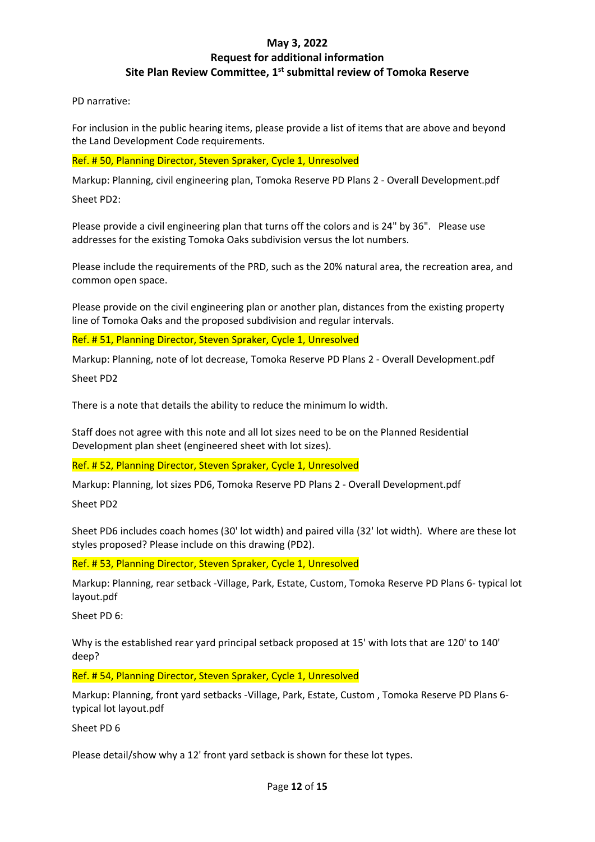PD narrative:

For inclusion in the public hearing items, please provide a list of items that are above and beyond the Land Development Code requirements.

Ref. # 50, Planning Director, Steven Spraker, Cycle 1, Unresolved

Markup: Planning, civil engineering plan, Tomoka Reserve PD Plans 2 - Overall Development.pdf

Sheet PD2:

Please provide a civil engineering plan that turns off the colors and is 24" by 36". Please use addresses for the existing Tomoka Oaks subdivision versus the lot numbers.

Please include the requirements of the PRD, such as the 20% natural area, the recreation area, and common open space.

Please provide on the civil engineering plan or another plan, distances from the existing property line of Tomoka Oaks and the proposed subdivision and regular intervals.

Ref. # 51, Planning Director, Steven Spraker, Cycle 1, Unresolved

Markup: Planning, note of lot decrease, Tomoka Reserve PD Plans 2 - Overall Development.pdf

Sheet PD2

There is a note that details the ability to reduce the minimum lo width.

Staff does not agree with this note and all lot sizes need to be on the Planned Residential Development plan sheet (engineered sheet with lot sizes).

Ref. # 52, Planning Director, Steven Spraker, Cycle 1, Unresolved

Markup: Planning, lot sizes PD6, Tomoka Reserve PD Plans 2 - Overall Development.pdf

Sheet PD2

Sheet PD6 includes coach homes (30' lot width) and paired villa (32' lot width). Where are these lot styles proposed? Please include on this drawing (PD2).

Ref. # 53, Planning Director, Steven Spraker, Cycle 1, Unresolved

Markup: Planning, rear setback -Village, Park, Estate, Custom, Tomoka Reserve PD Plans 6- typical lot layout.pdf

Sheet PD 6:

Why is the established rear yard principal setback proposed at 15' with lots that are 120' to 140' deep?

Ref. # 54, Planning Director, Steven Spraker, Cycle 1, Unresolved

Markup: Planning, front yard setbacks -Village, Park, Estate, Custom , Tomoka Reserve PD Plans 6 typical lot layout.pdf

Sheet PD 6

Please detail/show why a 12' front yard setback is shown for these lot types.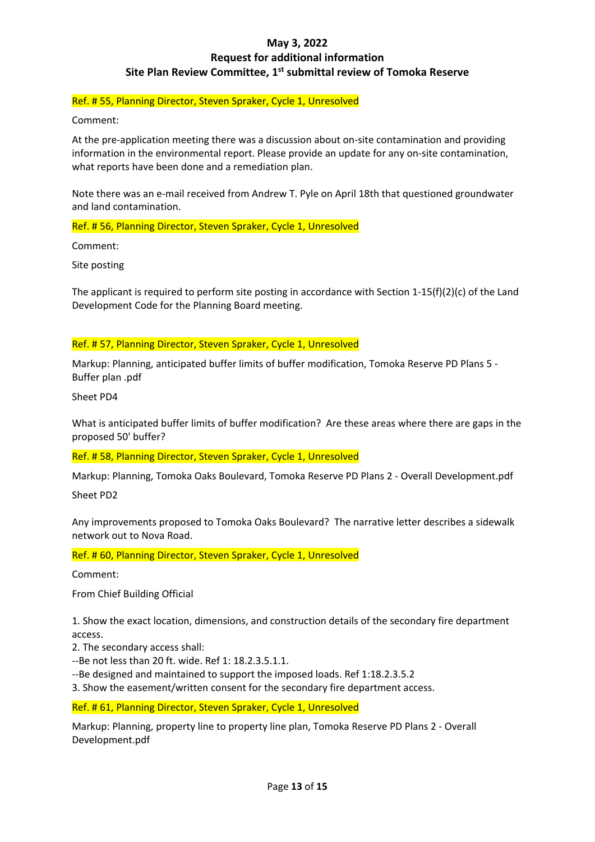### Ref. # 55, Planning Director, Steven Spraker, Cycle 1, Unresolved

Comment:

At the pre-application meeting there was a discussion about on-site contamination and providing information in the environmental report. Please provide an update for any on-site contamination, what reports have been done and a remediation plan.

Note there was an e-mail received from Andrew T. Pyle on April 18th that questioned groundwater and land contamination.

Ref. # 56, Planning Director, Steven Spraker, Cycle 1, Unresolved

Comment:

Site posting

The applicant is required to perform site posting in accordance with Section 1-15(f)(2)(c) of the Land Development Code for the Planning Board meeting.

### Ref. # 57, Planning Director, Steven Spraker, Cycle 1, Unresolved

Markup: Planning, anticipated buffer limits of buffer modification, Tomoka Reserve PD Plans 5 - Buffer plan .pdf

Sheet PD4

What is anticipated buffer limits of buffer modification? Are these areas where there are gaps in the proposed 50' buffer?

Ref. # 58, Planning Director, Steven Spraker, Cycle 1, Unresolved

Markup: Planning, Tomoka Oaks Boulevard, Tomoka Reserve PD Plans 2 - Overall Development.pdf

Sheet PD2

Any improvements proposed to Tomoka Oaks Boulevard? The narrative letter describes a sidewalk network out to Nova Road.

Ref. # 60, Planning Director, Steven Spraker, Cycle 1, Unresolved

Comment:

From Chief Building Official

1. Show the exact location, dimensions, and construction details of the secondary fire department access.

2. The secondary access shall:

--Be not less than 20 ft. wide. Ref 1: 18.2.3.5.1.1.

--Be designed and maintained to support the imposed loads. Ref 1:18.2.3.5.2

3. Show the easement/written consent for the secondary fire department access.

Ref. # 61, Planning Director, Steven Spraker, Cycle 1, Unresolved

Markup: Planning, property line to property line plan, Tomoka Reserve PD Plans 2 - Overall Development.pdf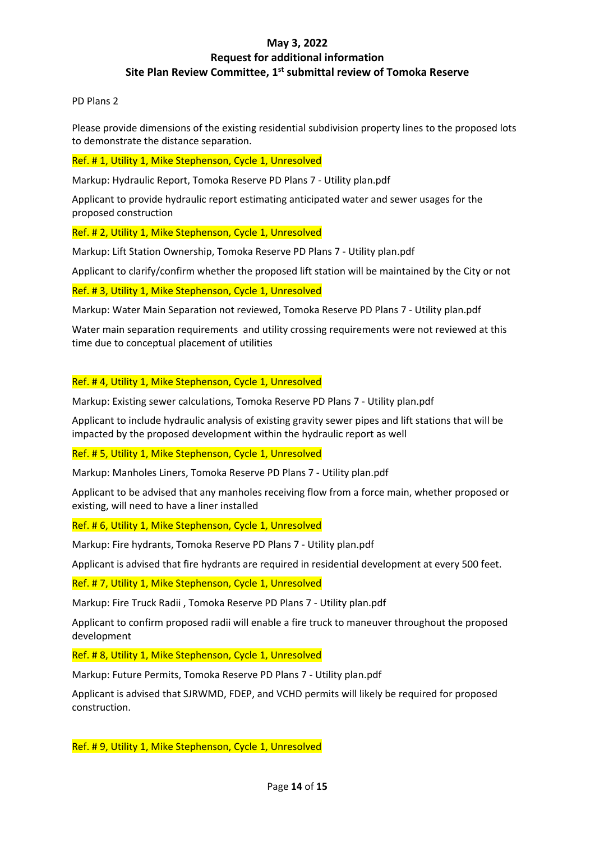PD Plans 2

Please provide dimensions of the existing residential subdivision property lines to the proposed lots to demonstrate the distance separation.

Ref. # 1, Utility 1, Mike Stephenson, Cycle 1, Unresolved

Markup: Hydraulic Report, Tomoka Reserve PD Plans 7 - Utility plan.pdf

Applicant to provide hydraulic report estimating anticipated water and sewer usages for the proposed construction

Ref. # 2, Utility 1, Mike Stephenson, Cycle 1, Unresolved

Markup: Lift Station Ownership, Tomoka Reserve PD Plans 7 - Utility plan.pdf

Applicant to clarify/confirm whether the proposed lift station will be maintained by the City or not

Ref. # 3, Utility 1, Mike Stephenson, Cycle 1, Unresolved

Markup: Water Main Separation not reviewed, Tomoka Reserve PD Plans 7 - Utility plan.pdf

Water main separation requirements and utility crossing requirements were not reviewed at this time due to conceptual placement of utilities

Ref. # 4, Utility 1, Mike Stephenson, Cycle 1, Unresolved

Markup: Existing sewer calculations, Tomoka Reserve PD Plans 7 - Utility plan.pdf

Applicant to include hydraulic analysis of existing gravity sewer pipes and lift stations that will be impacted by the proposed development within the hydraulic report as well

Ref. # 5, Utility 1, Mike Stephenson, Cycle 1, Unresolved

Markup: Manholes Liners, Tomoka Reserve PD Plans 7 - Utility plan.pdf

Applicant to be advised that any manholes receiving flow from a force main, whether proposed or existing, will need to have a liner installed

Ref. # 6, Utility 1, Mike Stephenson, Cycle 1, Unresolved

Markup: Fire hydrants, Tomoka Reserve PD Plans 7 - Utility plan.pdf

Applicant is advised that fire hydrants are required in residential development at every 500 feet.

Ref. # 7, Utility 1, Mike Stephenson, Cycle 1, Unresolved

Markup: Fire Truck Radii , Tomoka Reserve PD Plans 7 - Utility plan.pdf

Applicant to confirm proposed radii will enable a fire truck to maneuver throughout the proposed development

Ref. # 8, Utility 1, Mike Stephenson, Cycle 1, Unresolved

Markup: Future Permits, Tomoka Reserve PD Plans 7 - Utility plan.pdf

Applicant is advised that SJRWMD, FDEP, and VCHD permits will likely be required for proposed construction.

Ref. # 9, Utility 1, Mike Stephenson, Cycle 1, Unresolved